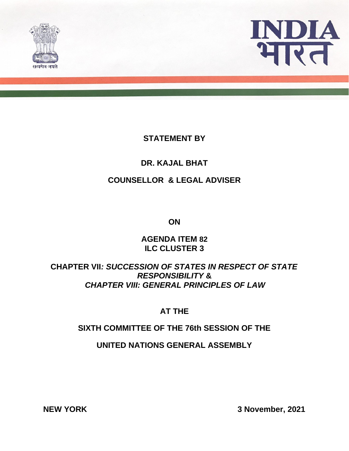



# **STATEMENT BY**

# **DR. KAJAL BHAT**

#### **COUNSELLOR & LEGAL ADVISER**

**ON**

#### **AGENDA ITEM 82 ILC CLUSTER 3**

# **CHAPTER VII***: SUCCESSION OF STATES IN RESPECT OF STATE RESPONSIBILITY* **&**  *CHAPTER VIII: GENERAL PRINCIPLES OF LAW*

# **AT THE**

# **SIXTH COMMITTEE OF THE 76th SESSION OF THE**

**UNITED NATIONS GENERAL ASSEMBLY**

**NEW YORK 3 November, 2021**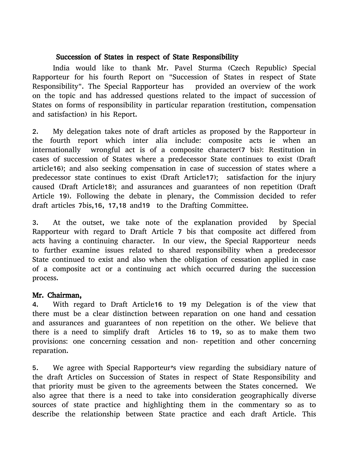#### Succession of States in respect of State Responsibility

India would like to thank Mr. Pavel Sturma (Czech Republic) Special Rapporteur for his fourth Report on "Succession of States in respect of State Responsibility". The Special Rapporteur has provided an overview of the work on the topic and has addressed questions related to the impact of succession of States on forms of responsibility in particular reparation (restitution, compensation and satisfaction) in his Report.

2. My delegation takes note of draft articles as proposed by the Rapporteur in the fourth report which inter alia include: composite acts ie when an internationally wrongful act is of a composite character(7 bis): Restitution in cases of succession of States where a predecessor State continues to exist (Draft article16); and also seeking compensation in case of succession of states where a predecessor state continues to exist (Draft Article17); satisfaction for the injury caused (Draft Article18); and assurances and guarantees of non repetition (Draft Article 19). Following the debate in plenary, the Commission decided to refer draft articles 7bis,16, 17,18 and19 to the Drafting Committee.

3. At the outset, we take note of the explanation provided by Special Rapporteur with regard to Draft Article 7 bis that composite act differed from acts having a continuing character. In our view, the Special Rapporteur needs to further examine issues related to shared responsibility when a predecessor State continued to exist and also when the obligation of cessation applied in case of a composite act or a continuing act which occurred during the succession process.

#### Mr. Chairman,

4. With regard to Draft Article16 to 19 my Delegation is of the view that there must be a clear distinction between reparation on one hand and cessation and assurances and guarantees of non repetition on the other. We believe that there is a need to simplify draft Articles 16 to 19, so as to make them two provisions: one concerning cessation and non- repetition and other concerning reparation.

5. We agree with Special Rapporteur's view regarding the subsidiary nature of the draft Articles on Succession of States in respect of State Responsibility and that priority must be given to the agreements between the States concerned. We also agree that there is a need to take into consideration geographically diverse sources of state practice and highlighting them in the commentary so as to describe the relationship between State practice and each draft Article. This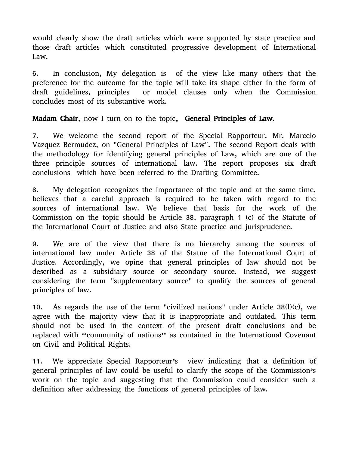would clearly show the draft articles which were supported by state practice and those draft articles which constituted progressive development of International Law.

6. In conclusion, My delegation is of the view like many others that the preference for the outcome for the topic will take its shape either in the form of draft guidelines, principles or model clauses only when the Commission concludes most of its substantive work.

Madam Chair, now I turn on to the topic, General Principles of Law.

7. We welcome the second report of the Special Rapporteur, Mr. Marcelo Vazquez Bermudez, on "General Principles of Law". The second Report deals with the methodology for identifying general principles of Law, which are one of the three principle sources of international law. The report proposes six draft conclusions which have been referred to the Drafting Committee.

8. My delegation recognizes the importance of the topic and at the same time, believes that a careful approach is required to be taken with regard to the sources of international law. We believe that basis for the work of the Commission on the topic should be Article 38, paragraph 1 (c) of the Statute of the International Court of Justice and also State practice and jurisprudence.

9. We are of the view that there is no hierarchy among the sources of international law under Article 38 of the Statue of the International Court of Justice. Accordingly, we opine that general principles of law should not be described as a subsidiary source or secondary source. Instead, we suggest considering the term "supplementary source" to qualify the sources of general principles of law.

10. As regards the use of the term "civilized nations" under Article  $38(l)(c)$ , we agree with the majority view that it is inappropriate and outdated. This term should not be used in the context of the present draft conclusions and be replaced with "community of nations" as contained in the International Covenant on Civil and Political Rights.

11. We appreciate Special Rapporteur's view indicating that a definition of general principles of law could be useful to clarify the scope of the Commission's work on the topic and suggesting that the Commission could consider such a definition after addressing the functions of general principles of law.